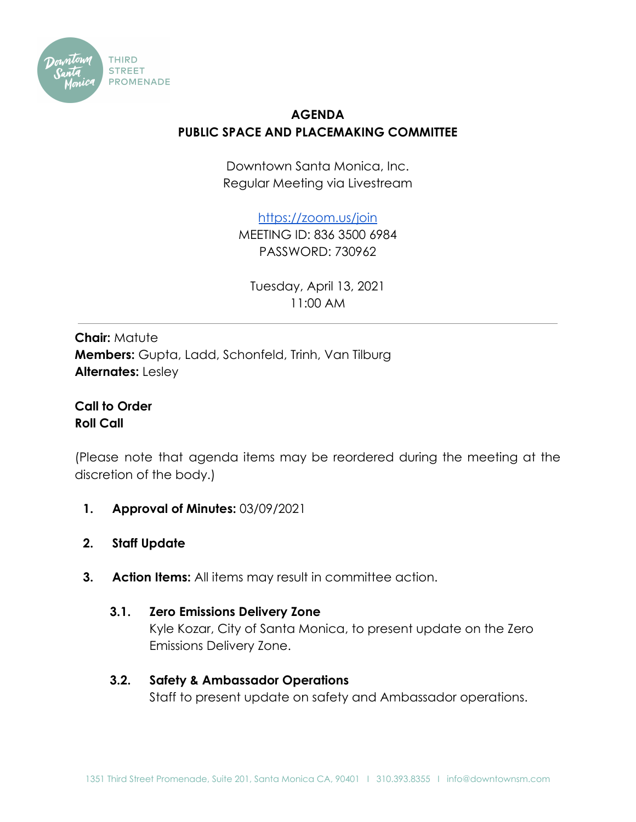

## **AGENDA PUBLIC SPACE AND PLACEMAKING COMMITTEE**

Downtown Santa Monica, Inc. Regular Meeting via Livestream

<https://zoom.us/join>

MEETING ID: 836 3500 6984 PASSWORD: 730962

Tuesday, April 13, 2021 11:00 AM

**Chair: Matute Members:** Gupta, Ladd, Schonfeld, Trinh, Van Tilburg **Alternates:** Lesley

**Call to Order Roll Call**

(Please note that agenda items may be reordered during the meeting at the discretion of the body.)

- **1. Approval of Minutes:** 03/09/2021
- **2. Staff Update**
- **3. Action Items:** All items may result in committee action.
	- **3.1. Zero Emissions Delivery Zone** Kyle Kozar, City of Santa Monica, to present update on the Zero Emissions Delivery Zone.
	- **3.2. Safety & Ambassador Operations** Staff to present update on safety and Ambassador operations.